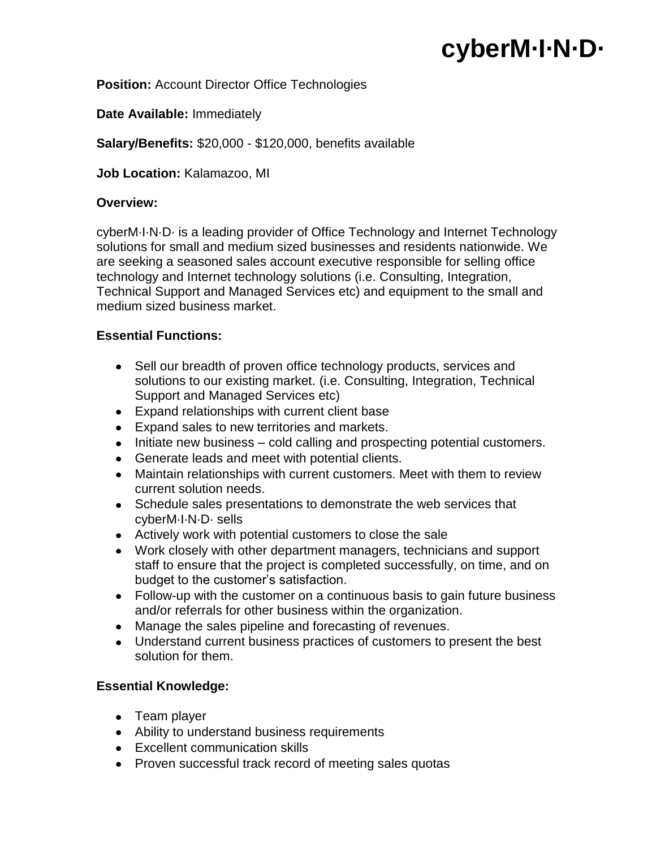# **cyberM·I·N·D·**

### **Position:** Account Director Office Technologies

**Date Available:** Immediately

**Salary/Benefits:** \$20,000 - \$120,000, benefits available

**Job Location:** Kalamazoo, MI

#### **Overview:**

cyberM·I·N·D· is a leading provider of Office Technology and Internet Technology solutions for small and medium sized businesses and residents nationwide. We are seeking a seasoned sales account executive responsible for selling office technology and Internet technology solutions (i.e. Consulting, Integration, Technical Support and Managed Services etc) and equipment to the small and medium sized business market.

#### **Essential Functions:**

- Sell our breadth of proven office technology products, services and solutions to our existing market. (i.e. Consulting, Integration, Technical Support and Managed Services etc)
- Expand relationships with current client base
- Expand sales to new territories and markets.
- $\bullet$  Initiate new business cold calling and prospecting potential customers.
- Generate leads and meet with potential clients.
- Maintain relationships with current customers. Meet with them to review current solution needs.
- Schedule sales presentations to demonstrate the web services that cyberM·I·N·D· sells
- Actively work with potential customers to close the sale
- Work closely with other department managers, technicians and support staff to ensure that the project is completed successfully, on time, and on budget to the customer's satisfaction.
- Follow-up with the customer on a continuous basis to gain future business and/or referrals for other business within the organization.
- Manage the sales pipeline and forecasting of revenues.
- Understand current business practices of customers to present the best solution for them.

## **Essential Knowledge:**

- Team player
- Ability to understand business requirements
- Excellent communication skills
- Proven successful track record of meeting sales quotas